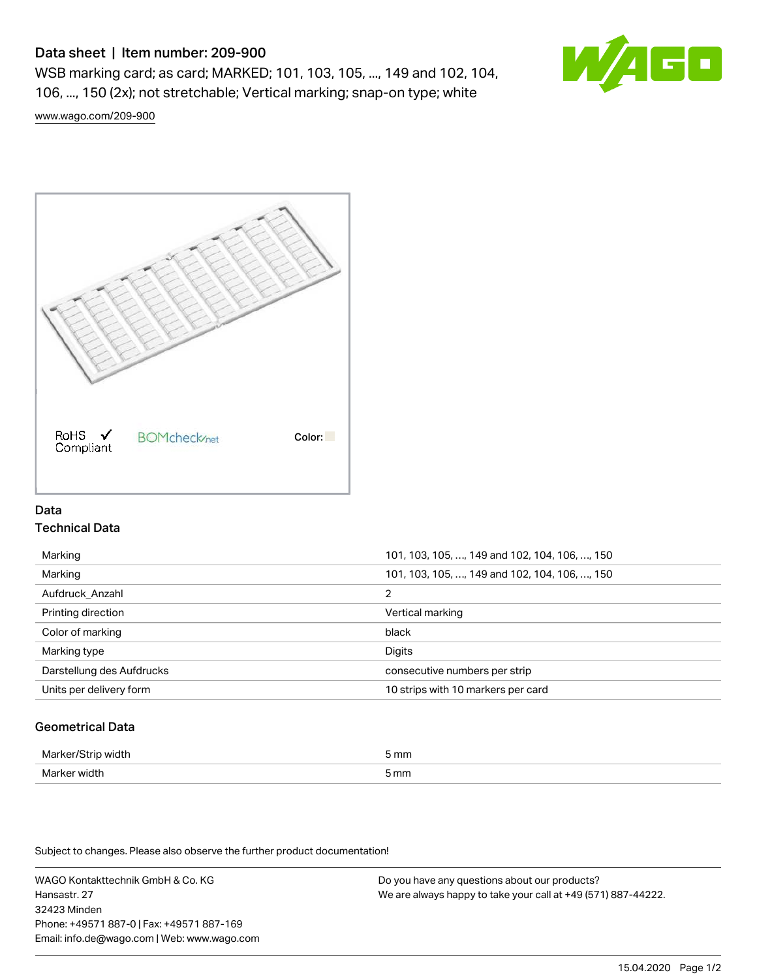# Data sheet | Item number: 209-900

WSB marking card; as card; MARKED; 101, 103, 105, ..., 149 and 102, 104, 106, ..., 150 (2x); not stretchable; Vertical marking; snap-on type; white



[www.wago.com/209-900](http://www.wago.com/209-900)



# Data Technical Data

| Marking                   | 101, 103, 105, , 149 and 102, 104, 106, , 150 |
|---------------------------|-----------------------------------------------|
| Marking                   | 101, 103, 105, , 149 and 102, 104, 106, , 150 |
| Aufdruck Anzahl           | 2                                             |
| Printing direction        | Vertical marking                              |
| Color of marking          | black                                         |
| Marking type              | Digits                                        |
|                           |                                               |
| Darstellung des Aufdrucks | consecutive numbers per strip                 |
| Units per delivery form   | 10 strips with 10 markers per card            |

# Geometrical Data

| Marker<br>/idth  | 5 mm |
|------------------|------|
| Mark<br>er width | 5 mm |

Subject to changes. Please also observe the further product documentation!

WAGO Kontakttechnik GmbH & Co. KG Hansastr. 27 32423 Minden Phone: +49571 887-0 | Fax: +49571 887-169 Email: info.de@wago.com | Web: www.wago.com

Do you have any questions about our products? We are always happy to take your call at +49 (571) 887-44222.